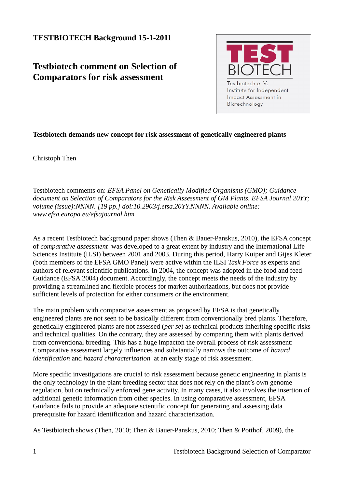## **TESTBIOTECH Background 15-1-2011**

## **Testbiotech comment on Selection of Comparators for risk assessment**



## **Testbiotech demands new concept for risk assessment of genetically engineered plants**

Christoph Then

Testbiotech comments on: *EFSA Panel on Genetically Modified Organisms (GMO); Guidance document on Selection of Comparators for the Risk Assessment of GM Plants. EFSA Journal 20YY; volume (issue):NNNN. [19 pp.] doi:10.2903/j.efsa.20YY.NNNN. Available online: www.efsa.europa.eu/efsajournal.htm* 

As a recent Testbiotech background paper shows (Then & Bauer-Panskus, 2010), the EFSA concept of *comparative assessment* was developed to a great extent by industry and the International Life Sciences Institute (ILSI) between 2001 and 2003. During this period, Harry Kuiper and Gijes Kleter (both members of the EFSA GMO Panel) were active within the ILSI *Task Force* as experts and authors of relevant scientific publications. In 2004, the concept was adopted in the food and feed Guidance (EFSA 2004) document. Accordingly, the concept meets the needs of the industry by providing a streamlined and flexible process for market authorizations, but does not provide sufficient levels of protection for either consumers or the environment.

The main problem with comparative assessment as proposed by EFSA is that genetically engineered plants are not seen to be basically different from conventionally bred plants. Therefore, genetically engineered plants are not assessed (*per se*) as technical products inheriting specific risks and technical qualities. On the contrary, they are assessed by comparing them with plants derived from conventional breeding. This has a huge impacton the overall process of risk assessment: Comparative assessment largely influences and substantially narrows the outcome of *hazard identification* and *hazard characterization* at an early stage of risk assessment.

More specific investigations are crucial to risk assessment because genetic engineering in plants is the only technology in the plant breeding sector that does not rely on the plant's own genome regulation, but on technically enforced gene activity. In many cases, it also involves the insertion of additional genetic information from other species. In using comparative assessment, EFSA Guidance fails to provide an adequate scientific concept for generating and assessing data prerequisite for hazard identification and hazard characterization.

As Testbiotech shows (Then, 2010; Then & Bauer-Panskus, 2010; Then & Potthof, 2009), the